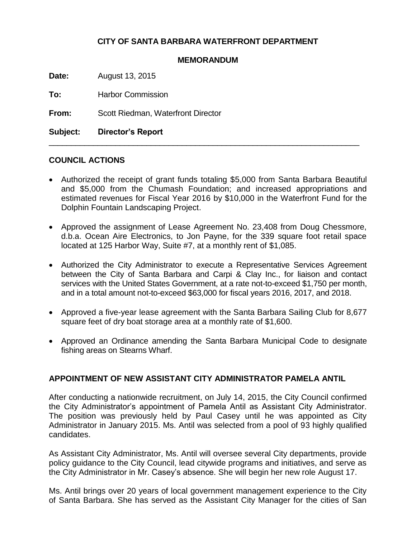## **CITY OF SANTA BARBARA WATERFRONT DEPARTMENT**

#### **MEMORANDUM**

**Date:** August 13, 2015

**To:** Harbor Commission

**From:** Scott Riedman, Waterfront Director

**Subject: Director's Report**

### **COUNCIL ACTIONS**

 Authorized the receipt of grant funds totaling \$5,000 from Santa Barbara Beautiful and \$5,000 from the Chumash Foundation; and increased appropriations and estimated revenues for Fiscal Year 2016 by \$10,000 in the Waterfront Fund for the Dolphin Fountain Landscaping Project.

\_\_\_\_\_\_\_\_\_\_\_\_\_\_\_\_\_\_\_\_\_\_\_\_\_\_\_\_\_\_\_\_\_\_\_\_\_\_\_\_\_\_\_\_\_\_\_\_\_\_\_\_\_\_\_\_\_\_\_\_\_\_\_\_\_\_\_\_\_\_

- Approved the assignment of Lease Agreement No. 23,408 from Doug Chessmore, d.b.a. Ocean Aire Electronics, to Jon Payne, for the 339 square foot retail space located at 125 Harbor Way, Suite #7, at a monthly rent of \$1,085.
- Authorized the City Administrator to execute a Representative Services Agreement between the City of Santa Barbara and Carpi & Clay Inc., for liaison and contact services with the United States Government, at a rate not-to-exceed \$1,750 per month, and in a total amount not-to-exceed \$63,000 for fiscal years 2016, 2017, and 2018.
- Approved a five-year lease agreement with the Santa Barbara Sailing Club for 8,677 square feet of dry boat storage area at a monthly rate of \$1,600.
- Approved an Ordinance amending the Santa Barbara Municipal Code to designate fishing areas on Stearns Wharf.

### **APPOINTMENT OF NEW ASSISTANT CITY ADMINISTRATOR PAMELA ANTIL**

After conducting a nationwide recruitment, on July 14, 2015, the City Council confirmed the City Administrator's appointment of Pamela Antil as Assistant City Administrator. The position was previously held by Paul Casey until he was appointed as City Administrator in January 2015. Ms. Antil was selected from a pool of 93 highly qualified candidates.

As Assistant City Administrator, Ms. Antil will oversee several City departments, provide policy guidance to the City Council, lead citywide programs and initiatives, and serve as the City Administrator in Mr. Casey's absence. She will begin her new role August 17.

Ms. Antil brings over 20 years of local government management experience to the City of Santa Barbara. She has served as the Assistant City Manager for the cities of San